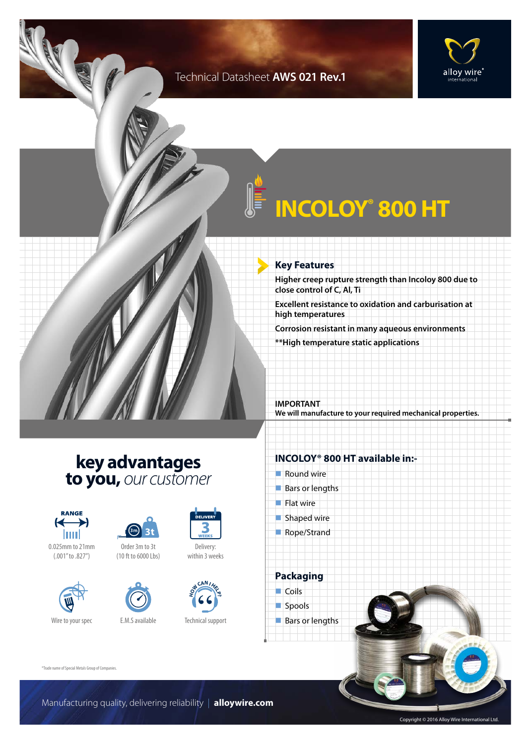### Technical Datasheet **AWS 021 Rev.1**





# **INCOLOY® 800 HT**

#### **Key Features**

**Higher creep rupture strength than Incoloy 800 due to close control of C, Al, Ti**

**Excellent resistance to oxidation and carburisation at high temperatures**

**Corrosion resistant in many aqueous environments**

**\*\*High temperature static applications**

**IMPORTANT We will manufacture to your required mechanical properties.**

## **key advantages to you,** *our customer*









(10 ft to 6000 Lbs)



Technical support

**H CAN I**<br> **H E D** 

Delivery: within 3 weeks

DELIVEI

### **INCOLOY® 800 HT available in:-**  $\blacksquare$  Round wire

- $\blacksquare$  Bars or lengths
- $\blacksquare$  Flat wire
- $\blacksquare$  Shaped wire
- Rope/Strand



Spools

Bars or lengths

®Trade name of Special Metals Group of Companies.

Manufacturing quality, delivering reliability | **alloywire.com**

Copyright © 2016 Alloy Wire International Ltd.